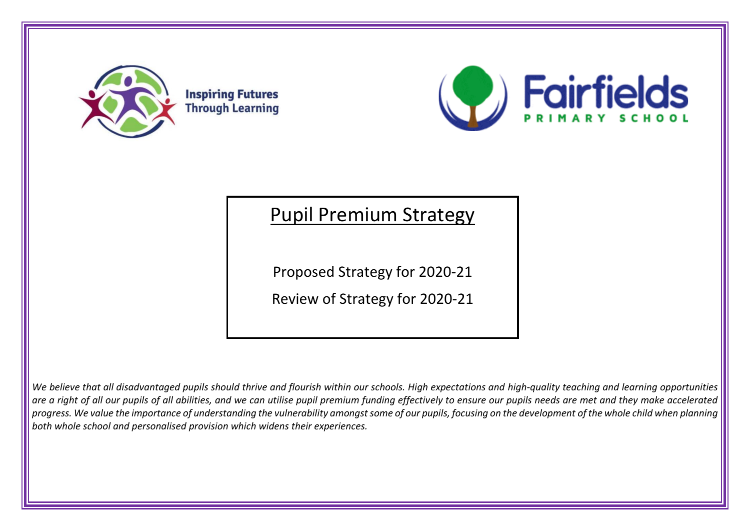



# Pupil Premium Strategy

Proposed Strategy for 2020-21

Review of Strategy for 2020-21

*We believe that all disadvantaged pupils should thrive and flourish within our schools. High expectations and high-quality teaching and learning opportunities are a right of all our pupils of all abilities, and we can utilise pupil premium funding effectively to ensure our pupils needs are met and they make accelerated progress. We value the importance of understanding the vulnerability amongst some of our pupils, focusing on the development of the whole child when planning both whole school and personalised provision which widens their experiences.*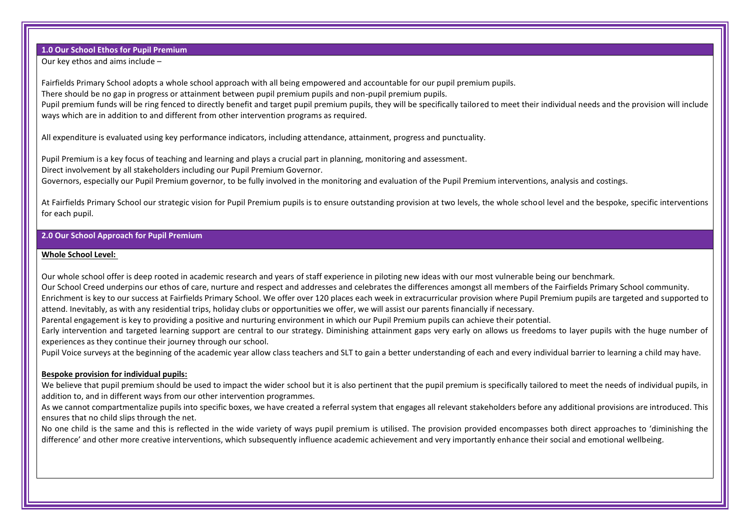**1.0 Our School Ethos for Pupil Premium**

Our key ethos and aims include –

Fairfields Primary School adopts a whole school approach with all being empowered and accountable for our pupil premium pupils.

There should be no gap in progress or attainment between pupil premium pupils and non-pupil premium pupils.

Pupil premium funds will be ring fenced to directly benefit and target pupil premium pupils, they will be specifically tailored to meet their individual needs and the provision will include ways which are in addition to and different from other intervention programs as required.

All expenditure is evaluated using key performance indicators, including attendance, attainment, progress and punctuality.

Pupil Premium is a key focus of teaching and learning and plays a crucial part in planning, monitoring and assessment. Direct involvement by all stakeholders including our Pupil Premium Governor. Governors, especially our Pupil Premium governor, to be fully involved in the monitoring and evaluation of the Pupil Premium interventions, analysis and costings.

At Fairfields Primary School our strategic vision for Pupil Premium pupils is to ensure outstanding provision at two levels, the whole school level and the bespoke, specific interventions for each pupil.

## **2.0 Our School Approach for Pupil Premium**

#### **Whole School Level:**

Our whole school offer is deep rooted in academic research and years of staff experience in piloting new ideas with our most vulnerable being our benchmark. Our School Creed underpins our ethos of care, nurture and respect and addresses and celebrates the differences amongst all members of the Fairfields Primary School community. Enrichment is key to our success at Fairfields Primary School. We offer over 120 places each week in extracurricular provision where Pupil Premium pupils are targeted and supported to attend. Inevitably, as with any residential trips, holiday clubs or opportunities we offer, we will assist our parents financially if necessary.

Parental engagement is key to providing a positive and nurturing environment in which our Pupil Premium pupils can achieve their potential.

Early intervention and targeted learning support are central to our strategy. Diminishing attainment gaps very early on allows us freedoms to layer pupils with the huge number of experiences as they continue their journey through our school.

Pupil Voice surveys at the beginning of the academic year allow class teachers and SLT to gain a better understanding of each and every individual barrier to learning a child may have.

### **Bespoke provision for individual pupils:**

We believe that pupil premium should be used to impact the wider school but it is also pertinent that the pupil premium is specifically tailored to meet the needs of individual pupils, in addition to, and in different ways from our other intervention programmes.

As we cannot compartmentalize pupils into specific boxes, we have created a referral system that engages all relevant stakeholders before any additional provisions are introduced. This ensures that no child slips through the net.

No one child is the same and this is reflected in the wide variety of ways pupil premium is utilised. The provision provided encompasses both direct approaches to 'diminishing the difference' and other more creative interventions, which subsequently influence academic achievement and very importantly enhance their social and emotional wellbeing.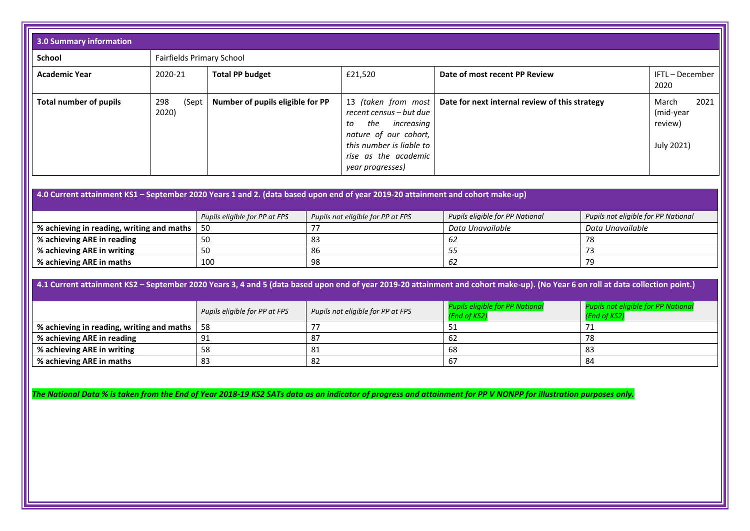| <b>3.0 Summary information</b>                                                                                                                                                                                                                                                                                                                                                |                       |                                                                    |                                         |                                                                                                                                                                            |                                                     |                  |                                                     |
|-------------------------------------------------------------------------------------------------------------------------------------------------------------------------------------------------------------------------------------------------------------------------------------------------------------------------------------------------------------------------------|-----------------------|--------------------------------------------------------------------|-----------------------------------------|----------------------------------------------------------------------------------------------------------------------------------------------------------------------------|-----------------------------------------------------|------------------|-----------------------------------------------------|
| <b>School</b>                                                                                                                                                                                                                                                                                                                                                                 |                       | <b>Fairfields Primary School</b>                                   |                                         |                                                                                                                                                                            |                                                     |                  |                                                     |
| <b>Academic Year</b>                                                                                                                                                                                                                                                                                                                                                          | 2020-21               | <b>Total PP budget</b><br>Date of most recent PP Review<br>£21,520 |                                         |                                                                                                                                                                            | IFTL-December<br>2020                               |                  |                                                     |
| <b>Total number of pupils</b>                                                                                                                                                                                                                                                                                                                                                 | 298<br>(Sept<br>2020) | Number of pupils eligible for PP                                   |                                         | 13 (taken from most<br>recent census - but due<br>the<br>increasing<br>tο<br>nature of our cohort,<br>this number is liable to<br>rise as the academic<br>year progresses) | Date for next internal review of this strategy      |                  | 2021<br>March<br>(mid-year<br>review)<br>July 2021) |
| 4.0 Current attainment KS1 - September 2020 Years 1 and 2. (data based upon end of year 2019-20 attainment and cohort make-up)<br>Pupils not eligible for PP National                                                                                                                                                                                                         |                       |                                                                    |                                         |                                                                                                                                                                            |                                                     |                  |                                                     |
| % achieving in reading, writing and maths                                                                                                                                                                                                                                                                                                                                     |                       | Pupils eligible for PP at FPS<br>50                                | Pupils not eligible for PP at FPS<br>77 |                                                                                                                                                                            | Pupils eligible for PP National<br>Data Unavailable | Data Unavailable |                                                     |
| % achieving ARE in reading                                                                                                                                                                                                                                                                                                                                                    |                       | 50                                                                 | 83                                      |                                                                                                                                                                            | 62                                                  | 78               |                                                     |
| % achieving ARE in writing                                                                                                                                                                                                                                                                                                                                                    |                       | 50                                                                 | 86                                      |                                                                                                                                                                            | 55                                                  | 73               |                                                     |
| % achieving ARE in maths                                                                                                                                                                                                                                                                                                                                                      |                       | 100                                                                | 98                                      |                                                                                                                                                                            | 62                                                  | 79               |                                                     |
| 4.1 Current attainment KS2 - September 2020 Years 3, 4 and 5 (data based upon end of year 2019-20 attainment and cohort make-up). (No Year 6 on roll at data collection point.)<br><b>Pupils not eligible for PP National</b><br><b>Pupils eligible for PP National</b><br>Pupils eligible for PP at FPS<br>Pupils not eligible for PP at FPS<br>(End of KS2)<br>(End of KS2) |                       |                                                                    |                                         |                                                                                                                                                                            |                                                     |                  |                                                     |
| % achieving in reading, writing and maths                                                                                                                                                                                                                                                                                                                                     |                       | 58                                                                 | 77                                      |                                                                                                                                                                            | 51                                                  | 71               |                                                     |
| % achieving ARE in reading                                                                                                                                                                                                                                                                                                                                                    |                       | 91                                                                 | 87                                      |                                                                                                                                                                            | 62                                                  | 78               |                                                     |
| % achieving ARE in writing                                                                                                                                                                                                                                                                                                                                                    |                       | 58                                                                 | 81                                      |                                                                                                                                                                            | 68                                                  | 83               |                                                     |
| % achieving ARE in maths                                                                                                                                                                                                                                                                                                                                                      |                       | 83                                                                 | 82                                      |                                                                                                                                                                            | 67                                                  | 84               |                                                     |

*The National Data % is taken from the End of Year 2018-19 KS2 SATs data as an indicator of progress and attainment for PP V NONPP for illustration purposes only.*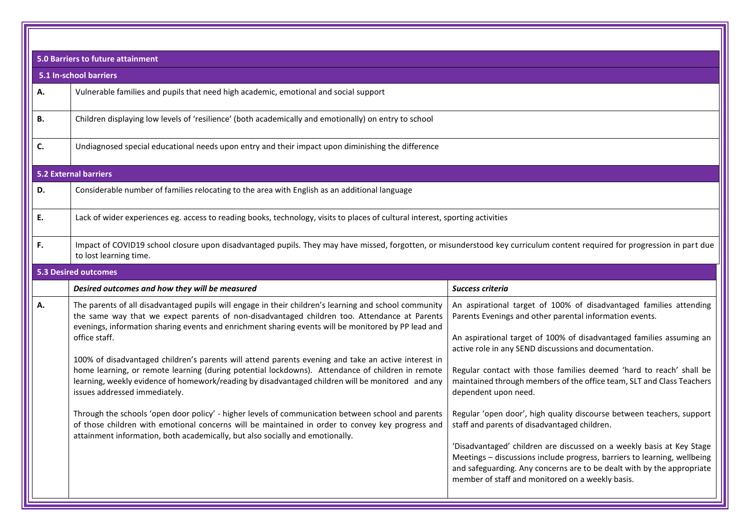| <b>5.0 Barriers to future attainment</b>                                                                                                                                                                                                                                                                                                                                                                                                                                                                                                                                                                                                                                                                                                                                                                                                                                                                                                                                  |                                                                                                                                                                                                                                                                                                                                                                                                                                                                                                                                                                                                                                                                                                                                                                                                                                                     |  |  |
|---------------------------------------------------------------------------------------------------------------------------------------------------------------------------------------------------------------------------------------------------------------------------------------------------------------------------------------------------------------------------------------------------------------------------------------------------------------------------------------------------------------------------------------------------------------------------------------------------------------------------------------------------------------------------------------------------------------------------------------------------------------------------------------------------------------------------------------------------------------------------------------------------------------------------------------------------------------------------|-----------------------------------------------------------------------------------------------------------------------------------------------------------------------------------------------------------------------------------------------------------------------------------------------------------------------------------------------------------------------------------------------------------------------------------------------------------------------------------------------------------------------------------------------------------------------------------------------------------------------------------------------------------------------------------------------------------------------------------------------------------------------------------------------------------------------------------------------------|--|--|
| 5.1 In-school barriers                                                                                                                                                                                                                                                                                                                                                                                                                                                                                                                                                                                                                                                                                                                                                                                                                                                                                                                                                    |                                                                                                                                                                                                                                                                                                                                                                                                                                                                                                                                                                                                                                                                                                                                                                                                                                                     |  |  |
| Vulnerable families and pupils that need high academic, emotional and social support                                                                                                                                                                                                                                                                                                                                                                                                                                                                                                                                                                                                                                                                                                                                                                                                                                                                                      |                                                                                                                                                                                                                                                                                                                                                                                                                                                                                                                                                                                                                                                                                                                                                                                                                                                     |  |  |
| Children displaying low levels of 'resilience' (both academically and emotionally) on entry to school                                                                                                                                                                                                                                                                                                                                                                                                                                                                                                                                                                                                                                                                                                                                                                                                                                                                     |                                                                                                                                                                                                                                                                                                                                                                                                                                                                                                                                                                                                                                                                                                                                                                                                                                                     |  |  |
| Undiagnosed special educational needs upon entry and their impact upon diminishing the difference                                                                                                                                                                                                                                                                                                                                                                                                                                                                                                                                                                                                                                                                                                                                                                                                                                                                         |                                                                                                                                                                                                                                                                                                                                                                                                                                                                                                                                                                                                                                                                                                                                                                                                                                                     |  |  |
| <b>5.2 External barriers</b>                                                                                                                                                                                                                                                                                                                                                                                                                                                                                                                                                                                                                                                                                                                                                                                                                                                                                                                                              |                                                                                                                                                                                                                                                                                                                                                                                                                                                                                                                                                                                                                                                                                                                                                                                                                                                     |  |  |
| Considerable number of families relocating to the area with English as an additional language                                                                                                                                                                                                                                                                                                                                                                                                                                                                                                                                                                                                                                                                                                                                                                                                                                                                             |                                                                                                                                                                                                                                                                                                                                                                                                                                                                                                                                                                                                                                                                                                                                                                                                                                                     |  |  |
| Lack of wider experiences eg. access to reading books, technology, visits to places of cultural interest, sporting activities                                                                                                                                                                                                                                                                                                                                                                                                                                                                                                                                                                                                                                                                                                                                                                                                                                             |                                                                                                                                                                                                                                                                                                                                                                                                                                                                                                                                                                                                                                                                                                                                                                                                                                                     |  |  |
| Impact of COVID19 school closure upon disadvantaged pupils. They may have missed, forgotten, or misunderstood key curriculum content required for progression in part due<br>to lost learning time.                                                                                                                                                                                                                                                                                                                                                                                                                                                                                                                                                                                                                                                                                                                                                                       |                                                                                                                                                                                                                                                                                                                                                                                                                                                                                                                                                                                                                                                                                                                                                                                                                                                     |  |  |
| <b>5.3 Desired outcomes</b>                                                                                                                                                                                                                                                                                                                                                                                                                                                                                                                                                                                                                                                                                                                                                                                                                                                                                                                                               |                                                                                                                                                                                                                                                                                                                                                                                                                                                                                                                                                                                                                                                                                                                                                                                                                                                     |  |  |
| Desired outcomes and how they will be measured                                                                                                                                                                                                                                                                                                                                                                                                                                                                                                                                                                                                                                                                                                                                                                                                                                                                                                                            | Success criteria                                                                                                                                                                                                                                                                                                                                                                                                                                                                                                                                                                                                                                                                                                                                                                                                                                    |  |  |
| The parents of all disadvantaged pupils will engage in their children's learning and school community<br>the same way that we expect parents of non-disadvantaged children too. Attendance at Parents<br>evenings, information sharing events and enrichment sharing events will be monitored by PP lead and<br>office staff.<br>100% of disadvantaged children's parents will attend parents evening and take an active interest in<br>home learning, or remote learning (during potential lockdowns). Attendance of children in remote<br>learning, weekly evidence of homework/reading by disadvantaged children will be monitored and any<br>issues addressed immediately.<br>Through the schools 'open door policy' - higher levels of communication between school and parents<br>of those children with emotional concerns will be maintained in order to convey key progress and<br>attainment information, both academically, but also socially and emotionally. | An aspirational target of 100% of disadvantaged families attending<br>Parents Evenings and other parental information events.<br>An aspirational target of 100% of disadvantaged families assuming an<br>active role in any SEND discussions and documentation.<br>Regular contact with those families deemed 'hard to reach' shall be<br>maintained through members of the office team, SLT and Class Teachers<br>dependent upon need.<br>Regular 'open door', high quality discourse between teachers, support<br>staff and parents of disadvantaged children.<br>'Disadvantaged' children are discussed on a weekly basis at Key Stage<br>Meetings - discussions include progress, barriers to learning, wellbeing<br>and safeguarding. Any concerns are to be dealt with by the appropriate<br>member of staff and monitored on a weekly basis. |  |  |
|                                                                                                                                                                                                                                                                                                                                                                                                                                                                                                                                                                                                                                                                                                                                                                                                                                                                                                                                                                           |                                                                                                                                                                                                                                                                                                                                                                                                                                                                                                                                                                                                                                                                                                                                                                                                                                                     |  |  |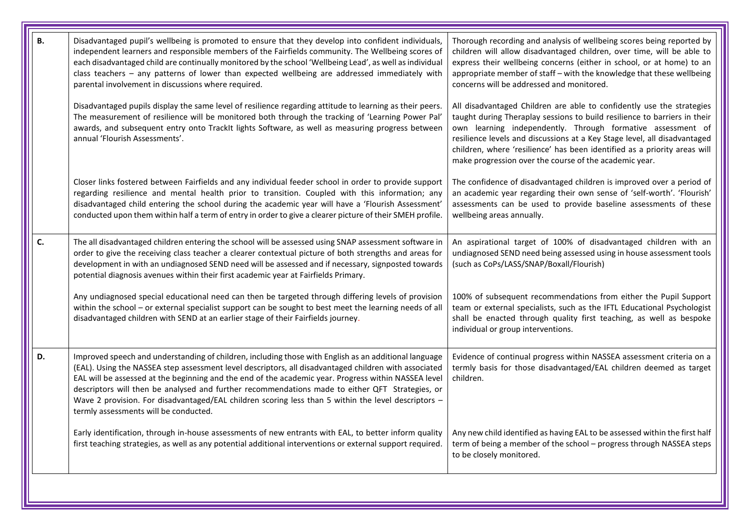| В. | Disadvantaged pupil's wellbeing is promoted to ensure that they develop into confident individuals,<br>independent learners and responsible members of the Fairfields community. The Wellbeing scores of<br>each disadvantaged child are continually monitored by the school 'Wellbeing Lead', as well as individual<br>class teachers - any patterns of lower than expected wellbeing are addressed immediately with<br>parental involvement in discussions where required.                                                                                              | Thorough recording and analysis of wellbeing scores being reported by<br>children will allow disadvantaged children, over time, will be able to<br>express their wellbeing concerns (either in school, or at home) to an<br>appropriate member of staff - with the knowledge that these wellbeing<br>concerns will be addressed and monitored.                                                                                        |
|----|---------------------------------------------------------------------------------------------------------------------------------------------------------------------------------------------------------------------------------------------------------------------------------------------------------------------------------------------------------------------------------------------------------------------------------------------------------------------------------------------------------------------------------------------------------------------------|---------------------------------------------------------------------------------------------------------------------------------------------------------------------------------------------------------------------------------------------------------------------------------------------------------------------------------------------------------------------------------------------------------------------------------------|
|    | Disadvantaged pupils display the same level of resilience regarding attitude to learning as their peers.<br>The measurement of resilience will be monitored both through the tracking of 'Learning Power Pal'<br>awards, and subsequent entry onto TrackIt lights Software, as well as measuring progress between<br>annual 'Flourish Assessments'.                                                                                                                                                                                                                       | All disadvantaged Children are able to confidently use the strategies<br>taught during Theraplay sessions to build resilience to barriers in their<br>own learning independently. Through formative assessment of<br>resilience levels and discussions at a Key Stage level, all disadvantaged<br>children, where 'resilience' has been identified as a priority areas will<br>make progression over the course of the academic year. |
|    | Closer links fostered between Fairfields and any individual feeder school in order to provide support<br>regarding resilience and mental health prior to transition. Coupled with this information; any<br>disadvantaged child entering the school during the academic year will have a 'Flourish Assessment'<br>conducted upon them within half a term of entry in order to give a clearer picture of their SMEH profile.                                                                                                                                                | The confidence of disadvantaged children is improved over a period of<br>an academic year regarding their own sense of 'self-worth'. 'Flourish'<br>assessments can be used to provide baseline assessments of these<br>wellbeing areas annually.                                                                                                                                                                                      |
| C. | The all disadvantaged children entering the school will be assessed using SNAP assessment software in<br>order to give the receiving class teacher a clearer contextual picture of both strengths and areas for<br>development in with an undiagnosed SEND need will be assessed and if necessary, signposted towards<br>potential diagnosis avenues within their first academic year at Fairfields Primary.                                                                                                                                                              | An aspirational target of 100% of disadvantaged children with an<br>undiagnosed SEND need being assessed using in house assessment tools<br>(such as CoPs/LASS/SNAP/Boxall/Flourish)                                                                                                                                                                                                                                                  |
|    | Any undiagnosed special educational need can then be targeted through differing levels of provision<br>within the school - or external specialist support can be sought to best meet the learning needs of all<br>disadvantaged children with SEND at an earlier stage of their Fairfields journey.                                                                                                                                                                                                                                                                       | 100% of subsequent recommendations from either the Pupil Support<br>team or external specialists, such as the IFTL Educational Psychologist<br>shall be enacted through quality first teaching, as well as bespoke<br>individual or group interventions.                                                                                                                                                                              |
| D. | Improved speech and understanding of children, including those with English as an additional language<br>(EAL). Using the NASSEA step assessment level descriptors, all disadvantaged children with associated<br>EAL will be assessed at the beginning and the end of the academic year. Progress within NASSEA level<br>descriptors will then be analysed and further recommendations made to either QFT Strategies, or<br>Wave 2 provision. For disadvantaged/EAL children scoring less than 5 within the level descriptors -<br>termly assessments will be conducted. | Evidence of continual progress within NASSEA assessment criteria on a<br>termly basis for those disadvantaged/EAL children deemed as target<br>children.                                                                                                                                                                                                                                                                              |
|    | Early identification, through in-house assessments of new entrants with EAL, to better inform quality<br>first teaching strategies, as well as any potential additional interventions or external support required.                                                                                                                                                                                                                                                                                                                                                       | Any new child identified as having EAL to be assessed within the first half<br>term of being a member of the school - progress through NASSEA steps<br>to be closely monitored.                                                                                                                                                                                                                                                       |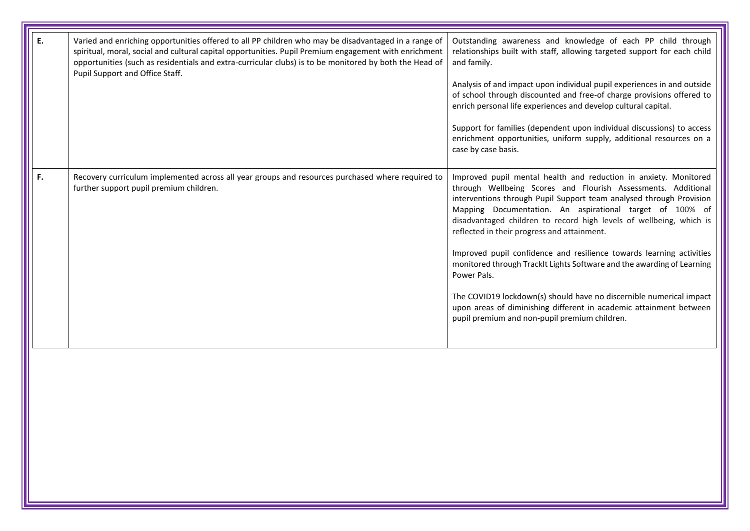| Ε. | Varied and enriching opportunities offered to all PP children who may be disadvantaged in a range of<br>spiritual, moral, social and cultural capital opportunities. Pupil Premium engagement with enrichment<br>opportunities (such as residentials and extra-curricular clubs) is to be monitored by both the Head of<br>Pupil Support and Office Staff. | Outstanding awareness and knowledge of each PP child through<br>relationships built with staff, allowing targeted support for each child<br>and family.<br>Analysis of and impact upon individual pupil experiences in and outside<br>of school through discounted and free-of charge provisions offered to<br>enrich personal life experiences and develop cultural capital.<br>Support for families (dependent upon individual discussions) to access<br>enrichment opportunities, uniform supply, additional resources on a<br>case by case basis.       |
|----|------------------------------------------------------------------------------------------------------------------------------------------------------------------------------------------------------------------------------------------------------------------------------------------------------------------------------------------------------------|-------------------------------------------------------------------------------------------------------------------------------------------------------------------------------------------------------------------------------------------------------------------------------------------------------------------------------------------------------------------------------------------------------------------------------------------------------------------------------------------------------------------------------------------------------------|
| F. | Recovery curriculum implemented across all year groups and resources purchased where required to<br>further support pupil premium children.                                                                                                                                                                                                                | Improved pupil mental health and reduction in anxiety. Monitored<br>through Wellbeing Scores and Flourish Assessments. Additional<br>interventions through Pupil Support team analysed through Provision<br>Mapping Documentation. An aspirational target of 100% of<br>disadvantaged children to record high levels of wellbeing, which is<br>reflected in their progress and attainment.<br>Improved pupil confidence and resilience towards learning activities<br>monitored through TrackIt Lights Software and the awarding of Learning<br>Power Pals. |
|    |                                                                                                                                                                                                                                                                                                                                                            | The COVID19 lockdown(s) should have no discernible numerical impact<br>upon areas of diminishing different in academic attainment between<br>pupil premium and non-pupil premium children.                                                                                                                                                                                                                                                                                                                                                                  |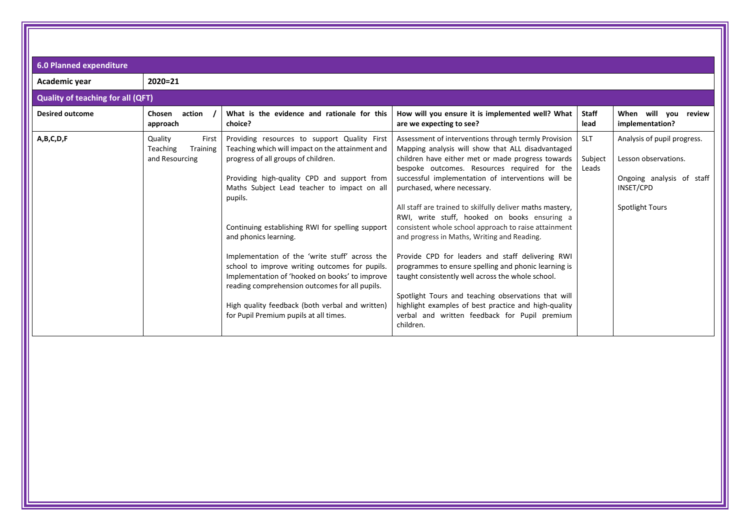| <b>6.0 Planned expenditure</b>           |                                                            |                                                                                                                                                                                                                                                                                                                                                                                                                                                                                                                                                                                                                                    |                                                                                                                                                                                                                                                                                                                                                                                                                                                                                                                                                                                                                                                                                                                                                                                                                                                                       |                                |                                                                                                                         |
|------------------------------------------|------------------------------------------------------------|------------------------------------------------------------------------------------------------------------------------------------------------------------------------------------------------------------------------------------------------------------------------------------------------------------------------------------------------------------------------------------------------------------------------------------------------------------------------------------------------------------------------------------------------------------------------------------------------------------------------------------|-----------------------------------------------------------------------------------------------------------------------------------------------------------------------------------------------------------------------------------------------------------------------------------------------------------------------------------------------------------------------------------------------------------------------------------------------------------------------------------------------------------------------------------------------------------------------------------------------------------------------------------------------------------------------------------------------------------------------------------------------------------------------------------------------------------------------------------------------------------------------|--------------------------------|-------------------------------------------------------------------------------------------------------------------------|
| Academic year                            | $2020 = 21$                                                |                                                                                                                                                                                                                                                                                                                                                                                                                                                                                                                                                                                                                                    |                                                                                                                                                                                                                                                                                                                                                                                                                                                                                                                                                                                                                                                                                                                                                                                                                                                                       |                                |                                                                                                                         |
| <b>Quality of teaching for all (QFT)</b> |                                                            |                                                                                                                                                                                                                                                                                                                                                                                                                                                                                                                                                                                                                                    |                                                                                                                                                                                                                                                                                                                                                                                                                                                                                                                                                                                                                                                                                                                                                                                                                                                                       |                                |                                                                                                                         |
| <b>Desired outcome</b>                   | action<br>Chosen<br>approach                               | What is the evidence and rationale for this<br>choice?                                                                                                                                                                                                                                                                                                                                                                                                                                                                                                                                                                             | How will you ensure it is implemented well? What<br>are we expecting to see?                                                                                                                                                                                                                                                                                                                                                                                                                                                                                                                                                                                                                                                                                                                                                                                          | Staff<br>lead                  | When will you review<br>implementation?                                                                                 |
| A,B,C,D,F                                | Quality<br>First<br>Teaching<br>Training<br>and Resourcing | Providing resources to support Quality First<br>Teaching which will impact on the attainment and<br>progress of all groups of children.<br>Providing high-quality CPD and support from<br>Maths Subject Lead teacher to impact on all<br>pupils.<br>Continuing establishing RWI for spelling support<br>and phonics learning.<br>Implementation of the 'write stuff' across the<br>school to improve writing outcomes for pupils.<br>Implementation of 'hooked on books' to improve<br>reading comprehension outcomes for all pupils.<br>High quality feedback (both verbal and written)<br>for Pupil Premium pupils at all times. | Assessment of interventions through termly Provision<br>Mapping analysis will show that ALL disadvantaged<br>children have either met or made progress towards<br>bespoke outcomes. Resources required for the<br>successful implementation of interventions will be<br>purchased, where necessary.<br>All staff are trained to skilfully deliver maths mastery,<br>RWI, write stuff, hooked on books ensuring a<br>consistent whole school approach to raise attainment<br>and progress in Maths, Writing and Reading.<br>Provide CPD for leaders and staff delivering RWI<br>programmes to ensure spelling and phonic learning is<br>taught consistently well across the whole school.<br>Spotlight Tours and teaching observations that will<br>highlight examples of best practice and high-quality<br>verbal and written feedback for Pupil premium<br>children. | <b>SLT</b><br>Subject<br>Leads | Analysis of pupil progress.<br>Lesson observations.<br>Ongoing analysis of staff<br>INSET/CPD<br><b>Spotlight Tours</b> |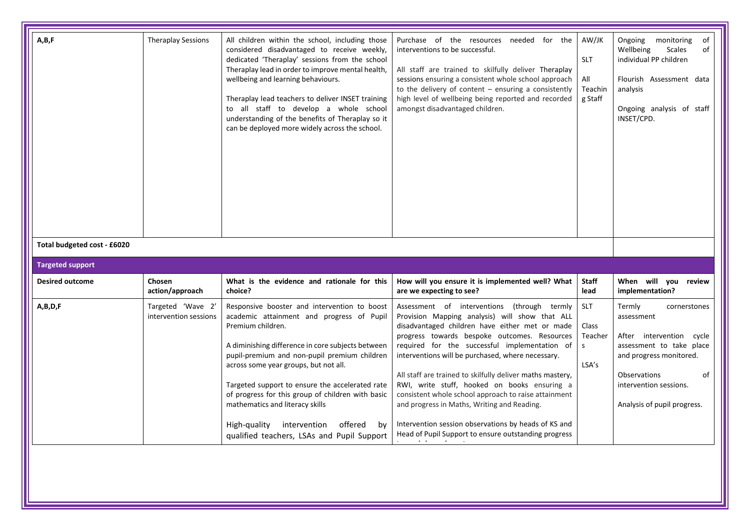| A,B,F                                                  | <b>Theraplay Sessions</b>                  | All children within the school, including those<br>considered disadvantaged to receive weekly,<br>dedicated 'Theraplay' sessions from the school<br>Theraplay lead in order to improve mental health,<br>wellbeing and learning behaviours.<br>Theraplay lead teachers to deliver INSET training<br>to all staff to develop a whole school<br>understanding of the benefits of Theraplay so it<br>can be deployed more widely across the school.                                                       | Purchase of the resources<br>needed for the<br>interventions to be successful.<br>All staff are trained to skilfully deliver Theraplay<br>sessions ensuring a consistent whole school approach<br>to the delivery of content $-$ ensuring a consistently<br>high level of wellbeing being reported and recorded<br>amongst disadvantaged children.                                                                                                                                                                                                                                                                                        | AW/JK<br><b>SLT</b><br>All<br>Teachin<br>g Staff | Ongoing<br>monitoring<br>of<br>Wellbeing<br><b>Scales</b><br>of<br>individual PP children<br>Flourish Assessment data<br>analysis<br>Ongoing analysis of staff<br>INSET/CPD.                           |
|--------------------------------------------------------|--------------------------------------------|--------------------------------------------------------------------------------------------------------------------------------------------------------------------------------------------------------------------------------------------------------------------------------------------------------------------------------------------------------------------------------------------------------------------------------------------------------------------------------------------------------|-------------------------------------------------------------------------------------------------------------------------------------------------------------------------------------------------------------------------------------------------------------------------------------------------------------------------------------------------------------------------------------------------------------------------------------------------------------------------------------------------------------------------------------------------------------------------------------------------------------------------------------------|--------------------------------------------------|--------------------------------------------------------------------------------------------------------------------------------------------------------------------------------------------------------|
| Total budgeted cost - £6020<br><b>Targeted support</b> |                                            |                                                                                                                                                                                                                                                                                                                                                                                                                                                                                                        |                                                                                                                                                                                                                                                                                                                                                                                                                                                                                                                                                                                                                                           |                                                  |                                                                                                                                                                                                        |
| <b>Desired outcome</b>                                 | Chosen<br>action/approach                  | What is the evidence and rationale for this<br>choice?                                                                                                                                                                                                                                                                                                                                                                                                                                                 | How will you ensure it is implemented well? What<br>are we expecting to see?                                                                                                                                                                                                                                                                                                                                                                                                                                                                                                                                                              | <b>Staff</b><br>lead                             | When will you review<br>implementation?                                                                                                                                                                |
| A,B,D,F                                                | Targeted 'Wave 2'<br>intervention sessions | Responsive booster and intervention to boost<br>academic attainment and progress of Pupil<br>Premium children.<br>A diminishing difference in core subjects between<br>pupil-premium and non-pupil premium children<br>across some year groups, but not all.<br>Targeted support to ensure the accelerated rate<br>of progress for this group of children with basic<br>mathematics and literacy skills<br>High-quality<br>intervention<br>offered<br>by<br>qualified teachers, LSAs and Pupil Support | Assessment of interventions (through termly<br>Provision Mapping analysis) will show that ALL<br>disadvantaged children have either met or made<br>progress towards bespoke outcomes. Resources<br>required for the successful implementation of<br>interventions will be purchased, where necessary.<br>All staff are trained to skilfully deliver maths mastery,<br>RWI, write stuff, hooked on books ensuring a<br>consistent whole school approach to raise attainment<br>and progress in Maths, Writing and Reading.<br>Intervention session observations by heads of KS and<br>Head of Pupil Support to ensure outstanding progress | <b>SLT</b><br>Class<br>Teacher<br>s.<br>LSA's    | Termly<br>cornerstones<br>assessment<br>After intervention cycle<br>assessment to take place<br>and progress monitored.<br>Observations<br>of<br>intervention sessions.<br>Analysis of pupil progress. |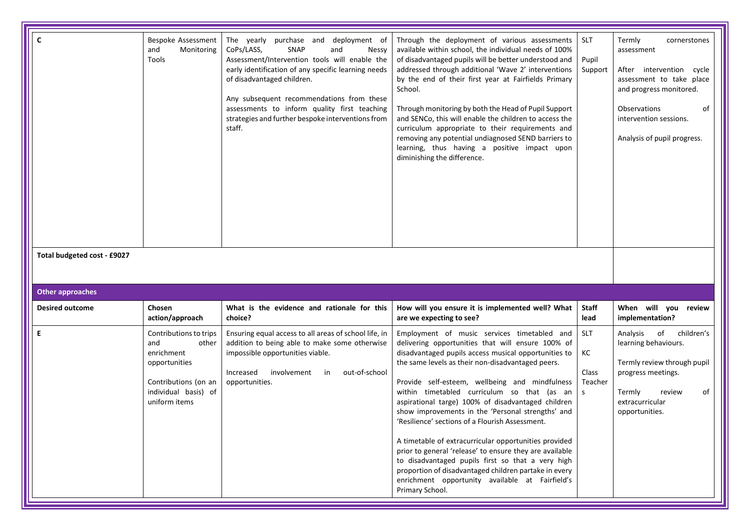| $\mathsf{C}$<br>Total budgeted cost - £9027 | Bespoke Assessment<br>and<br>Monitoring<br>Tools                                                                                       | The yearly<br>purchase and<br>deployment of<br>CoPs/LASS,<br>SNAP<br>and<br><b>Nessy</b><br>Assessment/Intervention tools will enable the<br>early identification of any specific learning needs<br>of disadvantaged children.<br>Any subsequent recommendations from these<br>assessments to inform quality first teaching<br>strategies and further bespoke interventions from<br>staff. | Through the deployment of various assessments<br>available within school, the individual needs of 100%<br>of disadvantaged pupils will be better understood and<br>addressed through additional 'Wave 2' interventions<br>by the end of their first year at Fairfields Primary<br>School.<br>Through monitoring by both the Head of Pupil Support<br>and SENCo, this will enable the children to access the<br>curriculum appropriate to their requirements and<br>removing any potential undiagnosed SEND barriers to<br>learning, thus having a positive impact upon<br>diminishing the difference.                                                                                                                                                                                | <b>SLT</b><br>Pupil<br>Support            | Termly<br>cornerstones<br>assessment<br>After intervention cycle<br>assessment to take place<br>and progress monitored.<br>Observations<br>of<br>intervention sessions.<br>Analysis of pupil progress. |
|---------------------------------------------|----------------------------------------------------------------------------------------------------------------------------------------|--------------------------------------------------------------------------------------------------------------------------------------------------------------------------------------------------------------------------------------------------------------------------------------------------------------------------------------------------------------------------------------------|--------------------------------------------------------------------------------------------------------------------------------------------------------------------------------------------------------------------------------------------------------------------------------------------------------------------------------------------------------------------------------------------------------------------------------------------------------------------------------------------------------------------------------------------------------------------------------------------------------------------------------------------------------------------------------------------------------------------------------------------------------------------------------------|-------------------------------------------|--------------------------------------------------------------------------------------------------------------------------------------------------------------------------------------------------------|
| <b>Other approaches</b>                     |                                                                                                                                        |                                                                                                                                                                                                                                                                                                                                                                                            |                                                                                                                                                                                                                                                                                                                                                                                                                                                                                                                                                                                                                                                                                                                                                                                      |                                           |                                                                                                                                                                                                        |
| <b>Desired outcome</b>                      | Chosen<br>action/approach                                                                                                              | What is the evidence and rationale for this<br>choice?                                                                                                                                                                                                                                                                                                                                     | How will you ensure it is implemented well? What<br>are we expecting to see?                                                                                                                                                                                                                                                                                                                                                                                                                                                                                                                                                                                                                                                                                                         | <b>Staff</b><br>lead                      | When will you review<br>implementation?                                                                                                                                                                |
| E                                           | Contributions to trips<br>and<br>other<br>enrichment<br>opportunities<br>Contributions (on an<br>individual basis) of<br>uniform items | Ensuring equal access to all areas of school life, in<br>addition to being able to make some otherwise<br>impossible opportunities viable.<br>Increased<br>involvement<br>out-of-school<br>in<br>opportunities.                                                                                                                                                                            | Employment of music services timetabled and<br>delivering opportunities that will ensure 100% of<br>disadvantaged pupils access musical opportunities to<br>the same levels as their non-disadvantaged peers.<br>Provide self-esteem, wellbeing and mindfulness<br>within timetabled curriculum so that (as an<br>aspirational targe) 100% of disadvantaged children<br>show improvements in the 'Personal strengths' and<br>'Resilience' sections of a Flourish Assessment.<br>A timetable of extracurricular opportunities provided<br>prior to general 'release' to ensure they are available<br>to disadvantaged pupils first so that a very high<br>proportion of disadvantaged children partake in every<br>enrichment opportunity available at Fairfield's<br>Primary School. | <b>SLT</b><br>КC<br>Class<br>Teacher<br>S | of children's<br>Analysis<br>learning behaviours.<br>Termly review through pupil<br>progress meetings.<br>Termly<br>of<br>review<br>extracurricular<br>opportunities.                                  |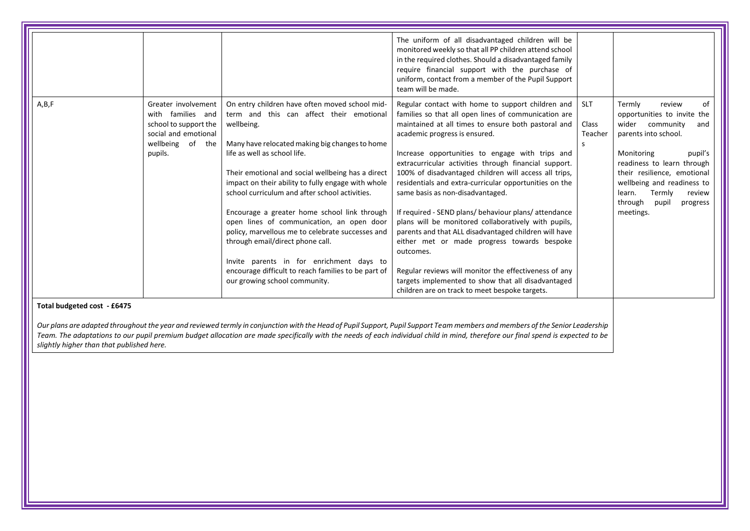| A, B, F<br>On entry children have often moved school mid-<br>Regular contact with home to support children and<br><b>SLT</b><br>of<br>Greater involvement<br>Termly<br>review<br>families so that all open lines of communication are<br>with families and<br>term and this can affect their emotional<br>opportunities to invite the<br>maintained at all times to ensure both pastoral and<br>Class<br>school to support the<br>wellbeing.<br>wider<br>community<br>and<br>social and emotional<br>academic progress is ensured.<br>parents into school.<br>Teacher<br>wellbeing of the<br>Many have relocated making big changes to home<br><sub>S</sub><br>life as well as school life.<br>Increase opportunities to engage with trips and<br>Monitoring<br>pupil's<br>pupils.<br>extracurricular activities through financial support.<br>readiness to learn through<br>100% of disadvantaged children will access all trips,<br>Their emotional and social wellbeing has a direct<br>their resilience, emotional<br>impact on their ability to fully engage with whole<br>residentials and extra-curricular opportunities on the<br>wellbeing and readiness to<br>school curriculum and after school activities.<br>same basis as non-disadvantaged.<br>Termly<br>learn.<br>review<br>through<br>pupil<br>progress<br>Encourage a greater home school link through<br>If required - SEND plans/ behaviour plans/ attendance<br>meetings.<br>open lines of communication, an open door<br>plans will be monitored collaboratively with pupils,<br>policy, marvellous me to celebrate successes and<br>parents and that ALL disadvantaged children will have<br>through email/direct phone call.<br>either met or made progress towards bespoke<br>outcomes.<br>Invite parents in for enrichment days to<br>encourage difficult to reach families to be part of<br>Regular reviews will monitor the effectiveness of any<br>targets implemented to show that all disadvantaged<br>our growing school community. |  | The uniform of all disadvantaged children will be<br>monitored weekly so that all PP children attend school<br>in the required clothes. Should a disadvantaged family<br>require financial support with the purchase of<br>uniform, contact from a member of the Pupil Support<br>team will be made. |  |
|---------------------------------------------------------------------------------------------------------------------------------------------------------------------------------------------------------------------------------------------------------------------------------------------------------------------------------------------------------------------------------------------------------------------------------------------------------------------------------------------------------------------------------------------------------------------------------------------------------------------------------------------------------------------------------------------------------------------------------------------------------------------------------------------------------------------------------------------------------------------------------------------------------------------------------------------------------------------------------------------------------------------------------------------------------------------------------------------------------------------------------------------------------------------------------------------------------------------------------------------------------------------------------------------------------------------------------------------------------------------------------------------------------------------------------------------------------------------------------------------------------------------------------------------------------------------------------------------------------------------------------------------------------------------------------------------------------------------------------------------------------------------------------------------------------------------------------------------------------------------------------------------------------------------------------------------------------------------------------------------------------------------|--|------------------------------------------------------------------------------------------------------------------------------------------------------------------------------------------------------------------------------------------------------------------------------------------------------|--|
|                                                                                                                                                                                                                                                                                                                                                                                                                                                                                                                                                                                                                                                                                                                                                                                                                                                                                                                                                                                                                                                                                                                                                                                                                                                                                                                                                                                                                                                                                                                                                                                                                                                                                                                                                                                                                                                                                                                                                                                                                     |  | children are on track to meet bespoke targets.                                                                                                                                                                                                                                                       |  |

#### **Total budgeted cost - £6475**

*Our plans are adapted throughout the year and reviewed termly in conjunction with the Head of Pupil Support, Pupil Support Team members and members of the Senior Leadership Team. The adaptations to our pupil premium budget allocation are made specifically with the needs of each individual child in mind, therefore our final spend is expected to be slightly higher than that published here.*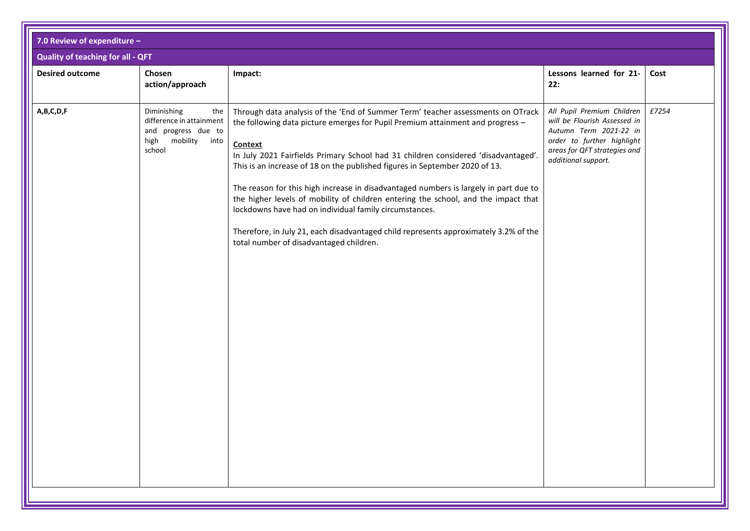| <b>Quality of teaching for all - QFT</b><br>Lessons learned for 21-<br><b>Desired outcome</b><br>Chosen<br>Cost<br>Impact:<br>action/approach<br>22:<br>£7254<br>A,B,C,D,F<br>Diminishing<br>All Pupil Premium Children<br>the<br>Through data analysis of the 'End of Summer Term' teacher assessments on OTrack<br>difference in attainment<br>will be Flourish Assessed in<br>the following data picture emerges for Pupil Premium attainment and progress -<br>and progress due to<br>Autumn Term 2021-22 in<br>mobility into<br>order to further highlight<br>high<br><b>Context</b><br>areas for QFT strategies and<br>school<br>In July 2021 Fairfields Primary School had 31 children considered 'disadvantaged'.<br>additional support.<br>This is an increase of 18 on the published figures in September 2020 of 13.<br>The reason for this high increase in disadvantaged numbers is largely in part due to<br>the higher levels of mobility of children entering the school, and the impact that<br>lockdowns have had on individual family circumstances.<br>Therefore, in July 21, each disadvantaged child represents approximately 3.2% of the<br>total number of disadvantaged children. | 7.0 Review of expenditure - |  |  |
|------------------------------------------------------------------------------------------------------------------------------------------------------------------------------------------------------------------------------------------------------------------------------------------------------------------------------------------------------------------------------------------------------------------------------------------------------------------------------------------------------------------------------------------------------------------------------------------------------------------------------------------------------------------------------------------------------------------------------------------------------------------------------------------------------------------------------------------------------------------------------------------------------------------------------------------------------------------------------------------------------------------------------------------------------------------------------------------------------------------------------------------------------------------------------------------------------------|-----------------------------|--|--|
|                                                                                                                                                                                                                                                                                                                                                                                                                                                                                                                                                                                                                                                                                                                                                                                                                                                                                                                                                                                                                                                                                                                                                                                                            |                             |  |  |
|                                                                                                                                                                                                                                                                                                                                                                                                                                                                                                                                                                                                                                                                                                                                                                                                                                                                                                                                                                                                                                                                                                                                                                                                            |                             |  |  |
|                                                                                                                                                                                                                                                                                                                                                                                                                                                                                                                                                                                                                                                                                                                                                                                                                                                                                                                                                                                                                                                                                                                                                                                                            |                             |  |  |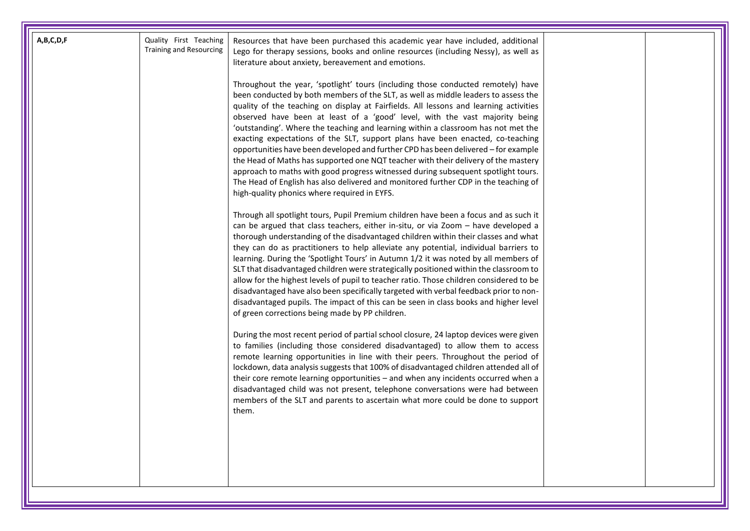| A,B,C,D,F | Quality First Teaching<br><b>Training and Resourcing</b> | Resources that have been purchased this academic year have included, additional<br>Lego for therapy sessions, books and online resources (including Nessy), as well as<br>literature about anxiety, bereavement and emotions.<br>Throughout the year, 'spotlight' tours (including those conducted remotely) have<br>been conducted by both members of the SLT, as well as middle leaders to assess the<br>quality of the teaching on display at Fairfields. All lessons and learning activities<br>observed have been at least of a 'good' level, with the vast majority being<br>'outstanding'. Where the teaching and learning within a classroom has not met the<br>exacting expectations of the SLT, support plans have been enacted, co-teaching<br>opportunities have been developed and further CPD has been delivered - for example<br>the Head of Maths has supported one NQT teacher with their delivery of the mastery<br>approach to maths with good progress witnessed during subsequent spotlight tours.<br>The Head of English has also delivered and monitored further CDP in the teaching of<br>high-quality phonics where required in EYFS.                                                                                                                                                                                                                                                                                                                                 |  |
|-----------|----------------------------------------------------------|------------------------------------------------------------------------------------------------------------------------------------------------------------------------------------------------------------------------------------------------------------------------------------------------------------------------------------------------------------------------------------------------------------------------------------------------------------------------------------------------------------------------------------------------------------------------------------------------------------------------------------------------------------------------------------------------------------------------------------------------------------------------------------------------------------------------------------------------------------------------------------------------------------------------------------------------------------------------------------------------------------------------------------------------------------------------------------------------------------------------------------------------------------------------------------------------------------------------------------------------------------------------------------------------------------------------------------------------------------------------------------------------------------------------------------------------------------------------------------------------|--|
|           |                                                          | Through all spotlight tours, Pupil Premium children have been a focus and as such it<br>can be argued that class teachers, either in-situ, or via Zoom - have developed a<br>thorough understanding of the disadvantaged children within their classes and what<br>they can do as practitioners to help alleviate any potential, individual barriers to<br>learning. During the 'Spotlight Tours' in Autumn 1/2 it was noted by all members of<br>SLT that disadvantaged children were strategically positioned within the classroom to<br>allow for the highest levels of pupil to teacher ratio. Those children considered to be<br>disadvantaged have also been specifically targeted with verbal feedback prior to non-<br>disadvantaged pupils. The impact of this can be seen in class books and higher level<br>of green corrections being made by PP children.<br>During the most recent period of partial school closure, 24 laptop devices were given<br>to families (including those considered disadvantaged) to allow them to access<br>remote learning opportunities in line with their peers. Throughout the period of<br>lockdown, data analysis suggests that 100% of disadvantaged children attended all of<br>their core remote learning opportunities - and when any incidents occurred when a<br>disadvantaged child was not present, telephone conversations were had between<br>members of the SLT and parents to ascertain what more could be done to support<br>them. |  |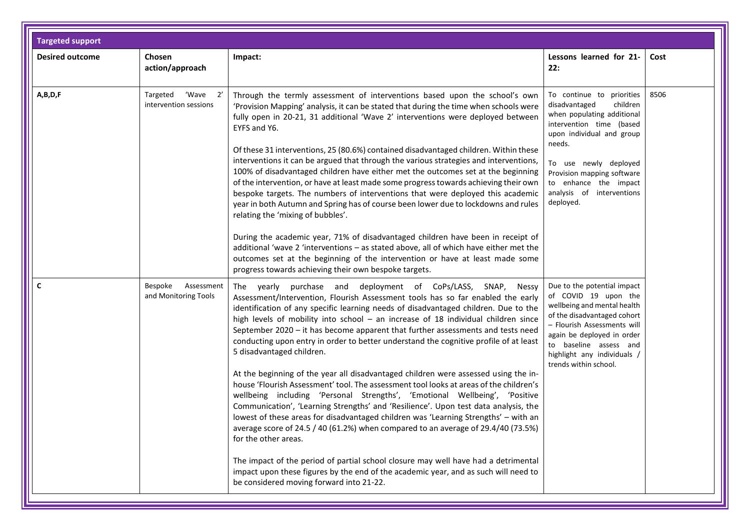| <b>Targeted support</b> |                                               |                                                                                                                                                                                                                                                                                                                                                                                                                                                                                                                                                                                                                                                                                                                                                                                                                                                                                                                                                                                                                                                                                                  |                                                                                                                                                                                                                                                                                   |      |
|-------------------------|-----------------------------------------------|--------------------------------------------------------------------------------------------------------------------------------------------------------------------------------------------------------------------------------------------------------------------------------------------------------------------------------------------------------------------------------------------------------------------------------------------------------------------------------------------------------------------------------------------------------------------------------------------------------------------------------------------------------------------------------------------------------------------------------------------------------------------------------------------------------------------------------------------------------------------------------------------------------------------------------------------------------------------------------------------------------------------------------------------------------------------------------------------------|-----------------------------------------------------------------------------------------------------------------------------------------------------------------------------------------------------------------------------------------------------------------------------------|------|
| <b>Desired outcome</b>  | Chosen<br>action/approach                     | Impact:                                                                                                                                                                                                                                                                                                                                                                                                                                                                                                                                                                                                                                                                                                                                                                                                                                                                                                                                                                                                                                                                                          | Lessons learned for 21-<br>22:                                                                                                                                                                                                                                                    | Cost |
| A,B,D,F                 | 'Wave 2'<br>Targeted<br>intervention sessions | Through the termly assessment of interventions based upon the school's own<br>'Provision Mapping' analysis, it can be stated that during the time when schools were<br>fully open in 20-21, 31 additional 'Wave 2' interventions were deployed between<br>EYFS and Y6.<br>Of these 31 interventions, 25 (80.6%) contained disadvantaged children. Within these<br>interventions it can be argued that through the various strategies and interventions,<br>100% of disadvantaged children have either met the outcomes set at the beginning<br>of the intervention, or have at least made some progress towards achieving their own<br>bespoke targets. The numbers of interventions that were deployed this academic<br>year in both Autumn and Spring has of course been lower due to lockdowns and rules<br>relating the 'mixing of bubbles'.<br>During the academic year, 71% of disadvantaged children have been in receipt of                                                                                                                                                              | To continue to priorities<br>disadvantaged<br>children<br>when populating additional<br>intervention time (based<br>upon individual and group<br>needs.<br>To use newly deployed<br>Provision mapping software<br>to enhance the impact<br>analysis of interventions<br>deployed. | 8506 |
|                         |                                               | additional 'wave 2 'interventions - as stated above, all of which have either met the<br>outcomes set at the beginning of the intervention or have at least made some<br>progress towards achieving their own bespoke targets.                                                                                                                                                                                                                                                                                                                                                                                                                                                                                                                                                                                                                                                                                                                                                                                                                                                                   |                                                                                                                                                                                                                                                                                   |      |
| C                       | Bespoke<br>Assessment<br>and Monitoring Tools | The yearly purchase and deployment of CoPs/LASS, SNAP, Nessy<br>Assessment/Intervention, Flourish Assessment tools has so far enabled the early<br>identification of any specific learning needs of disadvantaged children. Due to the<br>high levels of mobility into school $-$ an increase of 18 individual children since<br>September 2020 - it has become apparent that further assessments and tests need<br>conducting upon entry in order to better understand the cognitive profile of at least<br>5 disadvantaged children.<br>At the beginning of the year all disadvantaged children were assessed using the in-<br>house 'Flourish Assessment' tool. The assessment tool looks at areas of the children's<br>wellbeing including 'Personal Strengths', 'Emotional Wellbeing', 'Positive<br>Communication', 'Learning Strengths' and 'Resilience'. Upon test data analysis, the<br>lowest of these areas for disadvantaged children was 'Learning Strengths' - with an<br>average score of 24.5 / 40 (61.2%) when compared to an average of 29.4/40 (73.5%)<br>for the other areas. | Due to the potential impact<br>of COVID 19 upon the<br>wellbeing and mental health<br>of the disadvantaged cohort<br>- Flourish Assessments will<br>again be deployed in order<br>to baseline assess and<br>highlight any individuals /<br>trends within school.                  |      |
|                         |                                               | The impact of the period of partial school closure may well have had a detrimental<br>impact upon these figures by the end of the academic year, and as such will need to<br>be considered moving forward into 21-22.                                                                                                                                                                                                                                                                                                                                                                                                                                                                                                                                                                                                                                                                                                                                                                                                                                                                            |                                                                                                                                                                                                                                                                                   |      |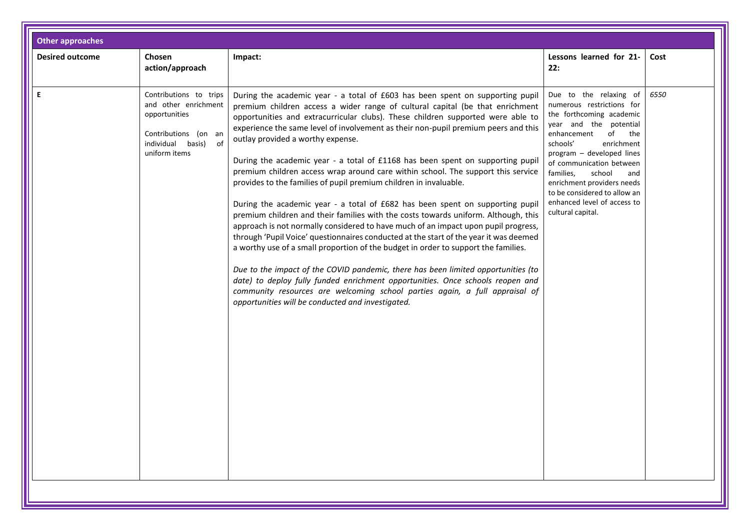| <b>Other approaches</b> |                                                                                                                                     |                                                                                                                                                                                                                                                                                                                                                                                                                                                                                                                                                                                                                                                                                                                                                                                                                                                                                                                                                                                                                                                                                                                                                                                                                                                                                                                                                                                |                                                                                                                                                                                                                                                                                                                                                                          |      |
|-------------------------|-------------------------------------------------------------------------------------------------------------------------------------|--------------------------------------------------------------------------------------------------------------------------------------------------------------------------------------------------------------------------------------------------------------------------------------------------------------------------------------------------------------------------------------------------------------------------------------------------------------------------------------------------------------------------------------------------------------------------------------------------------------------------------------------------------------------------------------------------------------------------------------------------------------------------------------------------------------------------------------------------------------------------------------------------------------------------------------------------------------------------------------------------------------------------------------------------------------------------------------------------------------------------------------------------------------------------------------------------------------------------------------------------------------------------------------------------------------------------------------------------------------------------------|--------------------------------------------------------------------------------------------------------------------------------------------------------------------------------------------------------------------------------------------------------------------------------------------------------------------------------------------------------------------------|------|
| <b>Desired outcome</b>  | Chosen<br>action/approach                                                                                                           | Impact:                                                                                                                                                                                                                                                                                                                                                                                                                                                                                                                                                                                                                                                                                                                                                                                                                                                                                                                                                                                                                                                                                                                                                                                                                                                                                                                                                                        | Lessons learned for 21-<br>22:                                                                                                                                                                                                                                                                                                                                           | Cost |
| E                       | Contributions to trips<br>and other enrichment<br>opportunities<br>Contributions (on an<br>individual basis)<br>of<br>uniform items | During the academic year - a total of £603 has been spent on supporting pupil<br>premium children access a wider range of cultural capital (be that enrichment<br>opportunities and extracurricular clubs). These children supported were able to<br>experience the same level of involvement as their non-pupil premium peers and this<br>outlay provided a worthy expense.<br>During the academic year - a total of £1168 has been spent on supporting pupil<br>premium children access wrap around care within school. The support this service<br>provides to the families of pupil premium children in invaluable.<br>During the academic year - a total of £682 has been spent on supporting pupil<br>premium children and their families with the costs towards uniform. Although, this<br>approach is not normally considered to have much of an impact upon pupil progress,<br>through 'Pupil Voice' questionnaires conducted at the start of the year it was deemed<br>a worthy use of a small proportion of the budget in order to support the families.<br>Due to the impact of the COVID pandemic, there has been limited opportunities (to<br>date) to deploy fully funded enrichment opportunities. Once schools reopen and<br>community resources are welcoming school parties again, a full appraisal of<br>opportunities will be conducted and investigated. | Due to the relaxing of<br>numerous restrictions for<br>the forthcoming academic<br>year and the potential<br>of<br>enhancement<br>the<br>schools'<br>enrichment<br>program - developed lines<br>of communication between<br>families,<br>school<br>and<br>enrichment providers needs<br>to be considered to allow an<br>enhanced level of access to<br>cultural capital. | 6550 |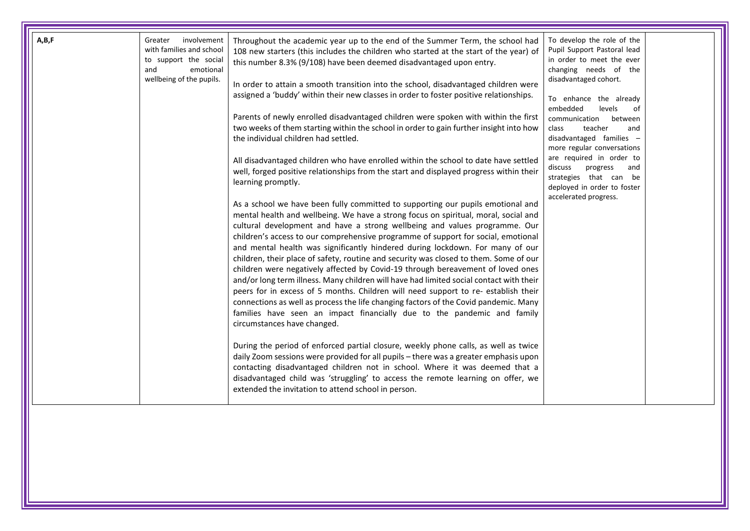| A,B,F<br>involvement<br>Greater<br>with families and school<br>to support the social<br>and<br>emotional<br>wellbeing of the pupils. | Throughout the academic year up to the end of the Summer Term, the school had<br>108 new starters (this includes the children who started at the start of the year) of<br>this number 8.3% (9/108) have been deemed disadvantaged upon entry.<br>In order to attain a smooth transition into the school, disadvantaged children were<br>assigned a 'buddy' within their new classes in order to foster positive relationships.<br>Parents of newly enrolled disadvantaged children were spoken with within the first<br>two weeks of them starting within the school in order to gain further insight into how<br>the individual children had settled.<br>All disadvantaged children who have enrolled within the school to date have settled<br>well, forged positive relationships from the start and displayed progress within their<br>learning promptly.<br>As a school we have been fully committed to supporting our pupils emotional and<br>mental health and wellbeing. We have a strong focus on spiritual, moral, social and<br>cultural development and have a strong wellbeing and values programme. Our<br>children's access to our comprehensive programme of support for social, emotional<br>and mental health was significantly hindered during lockdown. For many of our<br>children, their place of safety, routine and security was closed to them. Some of our<br>children were negatively affected by Covid-19 through bereavement of loved ones<br>and/or long term illness. Many children will have had limited social contact with their<br>peers for in excess of 5 months. Children will need support to re- establish their<br>connections as well as process the life changing factors of the Covid pandemic. Many<br>families have seen an impact financially due to the pandemic and family<br>circumstances have changed.<br>During the period of enforced partial closure, weekly phone calls, as well as twice<br>daily Zoom sessions were provided for all pupils - there was a greater emphasis upon<br>contacting disadvantaged children not in school. Where it was deemed that a<br>disadvantaged child was 'struggling' to access the remote learning on offer, we<br>extended the invitation to attend school in person. | To develop the role of the<br>Pupil Support Pastoral lead<br>in order to meet the ever<br>changing needs of the<br>disadvantaged cohort.<br>To enhance the already<br>embedded<br>levels<br>of<br>communication<br>between<br>teacher<br>class<br>and<br>disadvantaged families -<br>more regular conversations<br>are required in order to<br>discuss<br>progress<br>and<br>strategies that can be<br>deployed in order to foster<br>accelerated progress. |  |
|--------------------------------------------------------------------------------------------------------------------------------------|--------------------------------------------------------------------------------------------------------------------------------------------------------------------------------------------------------------------------------------------------------------------------------------------------------------------------------------------------------------------------------------------------------------------------------------------------------------------------------------------------------------------------------------------------------------------------------------------------------------------------------------------------------------------------------------------------------------------------------------------------------------------------------------------------------------------------------------------------------------------------------------------------------------------------------------------------------------------------------------------------------------------------------------------------------------------------------------------------------------------------------------------------------------------------------------------------------------------------------------------------------------------------------------------------------------------------------------------------------------------------------------------------------------------------------------------------------------------------------------------------------------------------------------------------------------------------------------------------------------------------------------------------------------------------------------------------------------------------------------------------------------------------------------------------------------------------------------------------------------------------------------------------------------------------------------------------------------------------------------------------------------------------------------------------------------------------------------------------------------------------------------------------------------------------------------------------------------------------------------------------------------------|-------------------------------------------------------------------------------------------------------------------------------------------------------------------------------------------------------------------------------------------------------------------------------------------------------------------------------------------------------------------------------------------------------------------------------------------------------------|--|
|--------------------------------------------------------------------------------------------------------------------------------------|--------------------------------------------------------------------------------------------------------------------------------------------------------------------------------------------------------------------------------------------------------------------------------------------------------------------------------------------------------------------------------------------------------------------------------------------------------------------------------------------------------------------------------------------------------------------------------------------------------------------------------------------------------------------------------------------------------------------------------------------------------------------------------------------------------------------------------------------------------------------------------------------------------------------------------------------------------------------------------------------------------------------------------------------------------------------------------------------------------------------------------------------------------------------------------------------------------------------------------------------------------------------------------------------------------------------------------------------------------------------------------------------------------------------------------------------------------------------------------------------------------------------------------------------------------------------------------------------------------------------------------------------------------------------------------------------------------------------------------------------------------------------------------------------------------------------------------------------------------------------------------------------------------------------------------------------------------------------------------------------------------------------------------------------------------------------------------------------------------------------------------------------------------------------------------------------------------------------------------------------------------------------|-------------------------------------------------------------------------------------------------------------------------------------------------------------------------------------------------------------------------------------------------------------------------------------------------------------------------------------------------------------------------------------------------------------------------------------------------------------|--|